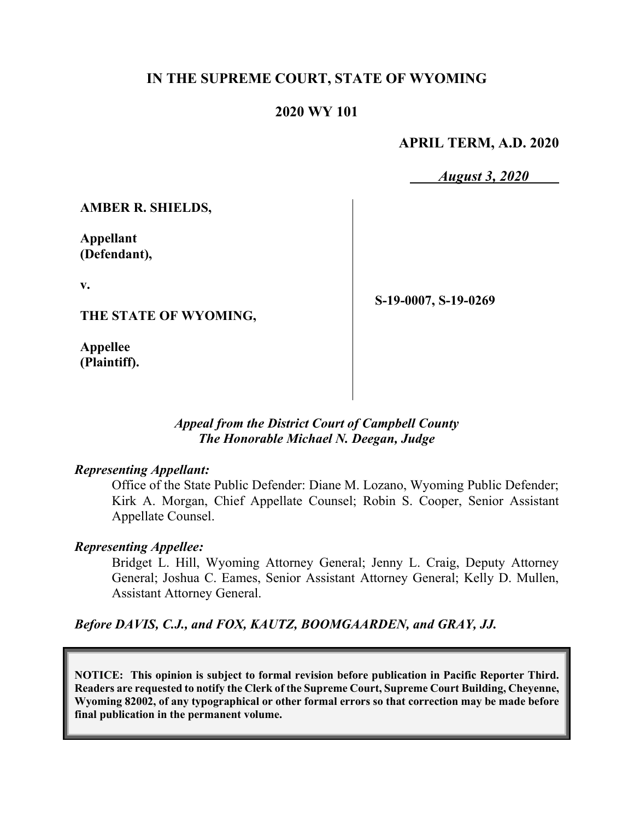### **IN THE SUPREME COURT, STATE OF WYOMING**

#### **2020 WY 101**

#### **APRIL TERM, A.D. 2020**

*August 3, 2020*

**AMBER R. SHIELDS,**

**Appellant (Defendant),**

**v.**

**THE STATE OF WYOMING,**

**Appellee (Plaintiff).** **S-19-0007, S-19-0269**

#### *Appeal from the District Court of Campbell County The Honorable Michael N. Deegan, Judge*

#### *Representing Appellant:*

Office of the State Public Defender: Diane M. Lozano, Wyoming Public Defender; Kirk A. Morgan, Chief Appellate Counsel; Robin S. Cooper, Senior Assistant Appellate Counsel.

#### *Representing Appellee:*

Bridget L. Hill, Wyoming Attorney General; Jenny L. Craig, Deputy Attorney General; Joshua C. Eames, Senior Assistant Attorney General; Kelly D. Mullen, Assistant Attorney General.

*Before DAVIS, C.J., and FOX, KAUTZ, BOOMGAARDEN, and GRAY, JJ.*

**NOTICE: This opinion is subject to formal revision before publication in Pacific Reporter Third. Readers are requested to notify the Clerk of the Supreme Court, Supreme Court Building, Cheyenne, Wyoming 82002, of any typographical or other formal errors so that correction may be made before final publication in the permanent volume.**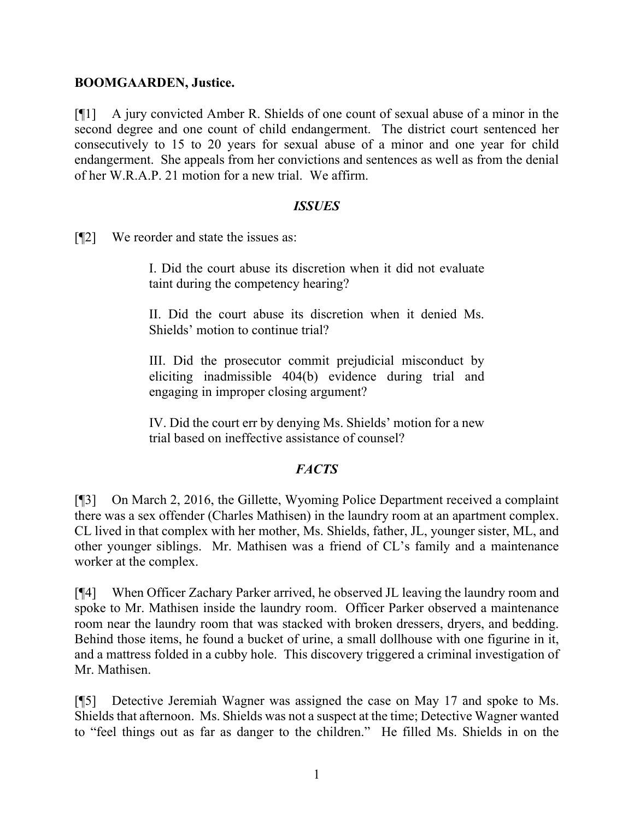#### **BOOMGAARDEN, Justice.**

[¶1] A jury convicted Amber R. Shields of one count of sexual abuse of a minor in the second degree and one count of child endangerment. The district court sentenced her consecutively to 15 to 20 years for sexual abuse of a minor and one year for child endangerment. She appeals from her convictions and sentences as well as from the denial of her W.R.A.P. 21 motion for a new trial. We affirm.

#### *ISSUES*

[¶2] We reorder and state the issues as:

I. Did the court abuse its discretion when it did not evaluate taint during the competency hearing?

II. Did the court abuse its discretion when it denied Ms. Shields' motion to continue trial?

III. Did the prosecutor commit prejudicial misconduct by eliciting inadmissible 404(b) evidence during trial and engaging in improper closing argument?

IV. Did the court err by denying Ms. Shields' motion for a new trial based on ineffective assistance of counsel?

## *FACTS*

[¶3] On March 2, 2016, the Gillette, Wyoming Police Department received a complaint there was a sex offender (Charles Mathisen) in the laundry room at an apartment complex. CL lived in that complex with her mother, Ms. Shields, father, JL, younger sister, ML, and other younger siblings. Mr. Mathisen was a friend of CL's family and a maintenance worker at the complex.

[¶4] When Officer Zachary Parker arrived, he observed JL leaving the laundry room and spoke to Mr. Mathisen inside the laundry room. Officer Parker observed a maintenance room near the laundry room that was stacked with broken dressers, dryers, and bedding. Behind those items, he found a bucket of urine, a small dollhouse with one figurine in it, and a mattress folded in a cubby hole. This discovery triggered a criminal investigation of Mr. Mathisen.

[¶5] Detective Jeremiah Wagner was assigned the case on May 17 and spoke to Ms. Shields that afternoon. Ms. Shields was not a suspect at the time; Detective Wagner wanted to "feel things out as far as danger to the children." He filled Ms. Shields in on the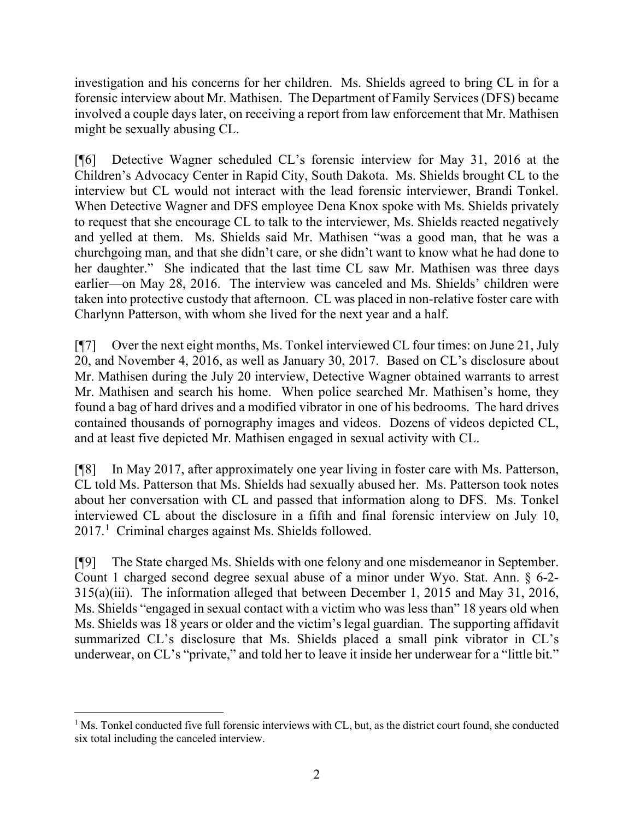investigation and his concerns for her children. Ms. Shields agreed to bring CL in for a forensic interview about Mr. Mathisen. The Department of Family Services (DFS) became involved a couple days later, on receiving a report from law enforcement that Mr. Mathisen might be sexually abusing CL.

[¶6] Detective Wagner scheduled CL's forensic interview for May 31, 2016 at the Children's Advocacy Center in Rapid City, South Dakota. Ms. Shields brought CL to the interview but CL would not interact with the lead forensic interviewer, Brandi Tonkel. When Detective Wagner and DFS employee Dena Knox spoke with Ms. Shields privately to request that she encourage CL to talk to the interviewer, Ms. Shields reacted negatively and yelled at them. Ms. Shields said Mr. Mathisen "was a good man, that he was a churchgoing man, and that she didn't care, or she didn't want to know what he had done to her daughter." She indicated that the last time CL saw Mr. Mathisen was three days earlier—on May 28, 2016. The interview was canceled and Ms. Shields' children were taken into protective custody that afternoon. CL was placed in non-relative foster care with Charlynn Patterson, with whom she lived for the next year and a half.

[¶7] Over the next eight months, Ms. Tonkel interviewed CL four times: on June 21, July 20, and November 4, 2016, as well as January 30, 2017. Based on CL's disclosure about Mr. Mathisen during the July 20 interview, Detective Wagner obtained warrants to arrest Mr. Mathisen and search his home. When police searched Mr. Mathisen's home, they found a bag of hard drives and a modified vibrator in one of his bedrooms. The hard drives contained thousands of pornography images and videos. Dozens of videos depicted CL, and at least five depicted Mr. Mathisen engaged in sexual activity with CL.

[¶8] In May 2017, after approximately one year living in foster care with Ms. Patterson, CL told Ms. Patterson that Ms. Shields had sexually abused her. Ms. Patterson took notes about her conversation with CL and passed that information along to DFS. Ms. Tonkel interviewed CL about the disclosure in a fifth and final forensic interview on July 10, 2017. [1](#page-2-0) Criminal charges against Ms. Shields followed.

[¶9] The State charged Ms. Shields with one felony and one misdemeanor in September. Count 1 charged second degree sexual abuse of a minor under Wyo. Stat. Ann. § 6-2- 315(a)(iii). The information alleged that between December 1, 2015 and May 31, 2016, Ms. Shields "engaged in sexual contact with a victim who was less than" 18 years old when Ms. Shields was 18 years or older and the victim's legal guardian. The supporting affidavit summarized CL's disclosure that Ms. Shields placed a small pink vibrator in CL's underwear, on CL's "private," and told her to leave it inside her underwear for a "little bit."

<span id="page-2-0"></span><sup>&</sup>lt;sup>1</sup> Ms. Tonkel conducted five full forensic interviews with CL, but, as the district court found, she conducted six total including the canceled interview.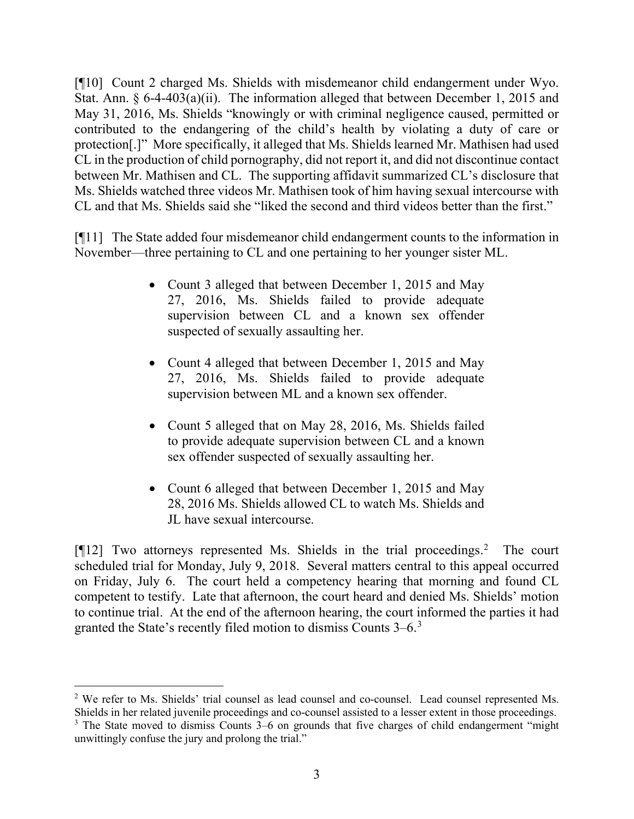[¶10] Count 2 charged Ms. Shields with misdemeanor child endangerment under Wyo. Stat. Ann. § 6-4-403(a)(ii). The information alleged that between December 1, 2015 and May 31, 2016, Ms. Shields "knowingly or with criminal negligence caused, permitted or contributed to the endangering of the child's health by violating a duty of care or protection[.]" More specifically, it alleged that Ms. Shields learned Mr. Mathisen had used CL in the production of child pornography, did not report it, and did not discontinue contact between Mr. Mathisen and CL. The supporting affidavit summarized CL's disclosure that Ms. Shields watched three videos Mr. Mathisen took of him having sexual intercourse with CL and that Ms. Shields said she "liked the second and third videos better than the first."

[¶11] The State added four misdemeanor child endangerment counts to the information in November—three pertaining to CL and one pertaining to her younger sister ML.

- Count 3 alleged that between December 1, 2015 and May 27, 2016, Ms. Shields failed to provide adequate supervision between CL and a known sex offender suspected of sexually assaulting her.
- Count 4 alleged that between December 1, 2015 and May 27, 2016, Ms. Shields failed to provide adequate supervision between ML and a known sex offender.
- Count 5 alleged that on May 28, 2016, Ms. Shields failed to provide adequate supervision between CL and a known sex offender suspected of sexually assaulting her.
- Count 6 alleged that between December 1, 2015 and May 28, 2016 Ms. Shields allowed CL to watch Ms. Shields and JL have sexual intercourse.

[¶12] Two attorneys represented Ms. Shields in the trial proceedings. [2](#page-3-0) The court scheduled trial for Monday, July 9, 2018. Several matters central to this appeal occurred on Friday, July 6. The court held a competency hearing that morning and found CL competent to testify. Late that afternoon, the court heard and denied Ms. Shields' motion to continue trial. At the end of the afternoon hearing, the court informed the parties it had granted the State's recently filed motion to dismiss Counts 3–6. [3](#page-3-1)

<span id="page-3-0"></span><sup>&</sup>lt;sup>2</sup> We refer to Ms. Shields' trial counsel as lead counsel and co-counsel. Lead counsel represented Ms. Shields in her related juvenile proceedings and co-counsel assisted to a lesser extent in those proceedings.

<span id="page-3-1"></span> $3$  The State moved to dismiss Counts 3–6 on grounds that five charges of child endangerment "might" unwittingly confuse the jury and prolong the trial."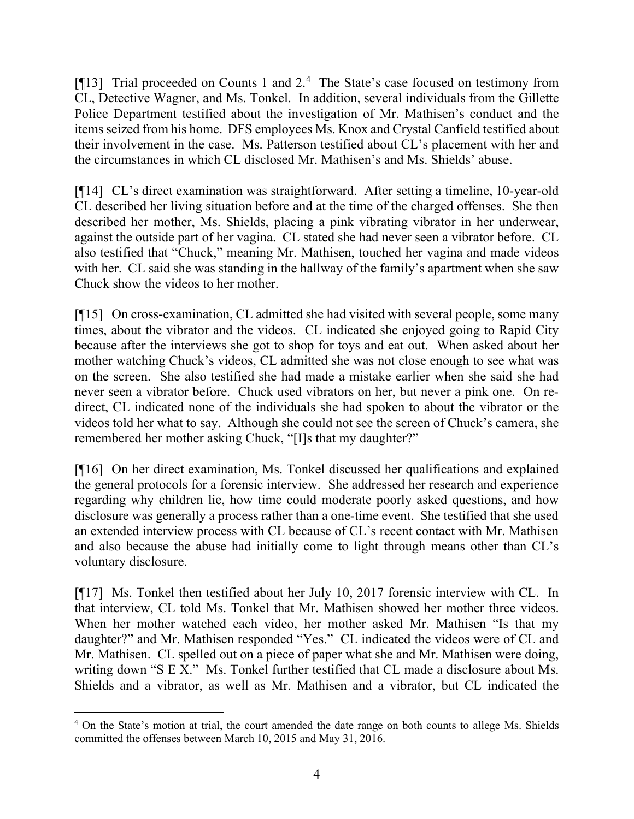[¶13] Trial proceeded on Counts 1 and 2.<sup>[4](#page-4-0)</sup> The State's case focused on testimony from CL, Detective Wagner, and Ms. Tonkel. In addition, several individuals from the Gillette Police Department testified about the investigation of Mr. Mathisen's conduct and the items seized from his home. DFS employees Ms. Knox and Crystal Canfield testified about their involvement in the case. Ms. Patterson testified about CL's placement with her and the circumstances in which CL disclosed Mr. Mathisen's and Ms. Shields' abuse.

[¶14] CL's direct examination was straightforward. After setting a timeline, 10-year-old CL described her living situation before and at the time of the charged offenses. She then described her mother, Ms. Shields, placing a pink vibrating vibrator in her underwear, against the outside part of her vagina. CL stated she had never seen a vibrator before. CL also testified that "Chuck," meaning Mr. Mathisen, touched her vagina and made videos with her. CL said she was standing in the hallway of the family's apartment when she saw Chuck show the videos to her mother.

[¶15] On cross-examination, CL admitted she had visited with several people, some many times, about the vibrator and the videos. CL indicated she enjoyed going to Rapid City because after the interviews she got to shop for toys and eat out. When asked about her mother watching Chuck's videos, CL admitted she was not close enough to see what was on the screen. She also testified she had made a mistake earlier when she said she had never seen a vibrator before. Chuck used vibrators on her, but never a pink one. On redirect, CL indicated none of the individuals she had spoken to about the vibrator or the videos told her what to say. Although she could not see the screen of Chuck's camera, she remembered her mother asking Chuck, "[I]s that my daughter?"

[¶16] On her direct examination, Ms. Tonkel discussed her qualifications and explained the general protocols for a forensic interview. She addressed her research and experience regarding why children lie, how time could moderate poorly asked questions, and how disclosure was generally a process rather than a one-time event. She testified that she used an extended interview process with CL because of CL's recent contact with Mr. Mathisen and also because the abuse had initially come to light through means other than CL's voluntary disclosure.

[¶17] Ms. Tonkel then testified about her July 10, 2017 forensic interview with CL. In that interview, CL told Ms. Tonkel that Mr. Mathisen showed her mother three videos. When her mother watched each video, her mother asked Mr. Mathisen "Is that my daughter?" and Mr. Mathisen responded "Yes." CL indicated the videos were of CL and Mr. Mathisen. CL spelled out on a piece of paper what she and Mr. Mathisen were doing, writing down "S E X." Ms. Tonkel further testified that CL made a disclosure about Ms. Shields and a vibrator, as well as Mr. Mathisen and a vibrator, but CL indicated the

<span id="page-4-0"></span><sup>&</sup>lt;sup>4</sup> On the State's motion at trial, the court amended the date range on both counts to allege Ms. Shields committed the offenses between March 10, 2015 and May 31, 2016.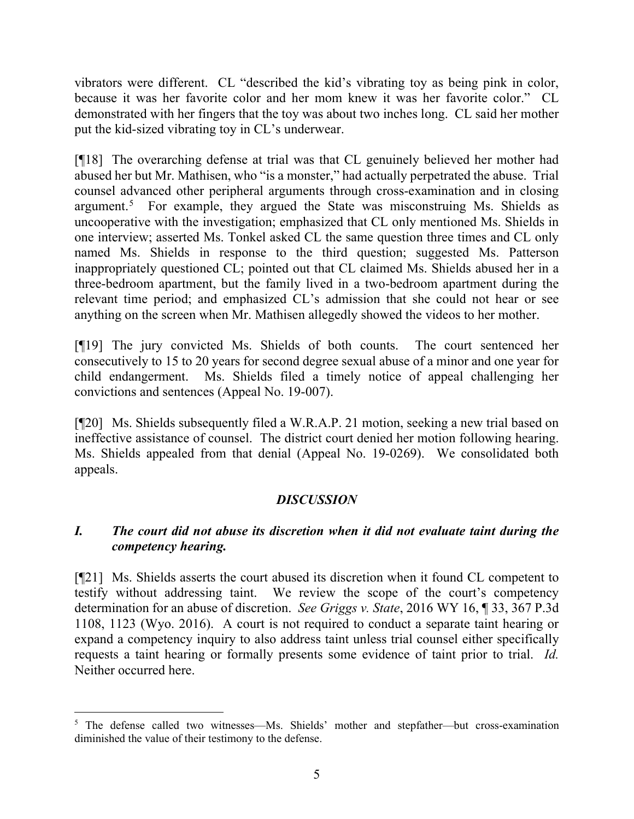vibrators were different. CL "described the kid's vibrating toy as being pink in color, because it was her favorite color and her mom knew it was her favorite color." CL demonstrated with her fingers that the toy was about two inches long. CL said her mother put the kid-sized vibrating toy in CL's underwear.

[¶18] The overarching defense at trial was that CL genuinely believed her mother had abused her but Mr. Mathisen, who "is a monster," had actually perpetrated the abuse. Trial counsel advanced other peripheral arguments through cross-examination and in closing argument.<sup>[5](#page-5-0)</sup> For example, they argued the State was misconstruing Ms. Shields as uncooperative with the investigation; emphasized that CL only mentioned Ms. Shields in one interview; asserted Ms. Tonkel asked CL the same question three times and CL only named Ms. Shields in response to the third question; suggested Ms. Patterson inappropriately questioned CL; pointed out that CL claimed Ms. Shields abused her in a three-bedroom apartment, but the family lived in a two-bedroom apartment during the relevant time period; and emphasized CL's admission that she could not hear or see anything on the screen when Mr. Mathisen allegedly showed the videos to her mother.

[¶19] The jury convicted Ms. Shields of both counts. The court sentenced her consecutively to 15 to 20 years for second degree sexual abuse of a minor and one year for child endangerment. Ms. Shields filed a timely notice of appeal challenging her convictions and sentences (Appeal No. 19-007).

[¶20] Ms. Shields subsequently filed a W.R.A.P. 21 motion, seeking a new trial based on ineffective assistance of counsel. The district court denied her motion following hearing. Ms. Shields appealed from that denial (Appeal No. 19-0269). We consolidated both appeals.

## *DISCUSSION*

## *I. The court did not abuse its discretion when it did not evaluate taint during the competency hearing.*

[¶21] Ms. Shields asserts the court abused its discretion when it found CL competent to testify without addressing taint. We review the scope of the court's competency determination for an abuse of discretion. *See Griggs v. State*, 2016 WY 16, ¶ 33, 367 P.3d 1108, 1123 (Wyo. 2016). A court is not required to conduct a separate taint hearing or expand a competency inquiry to also address taint unless trial counsel either specifically requests a taint hearing or formally presents some evidence of taint prior to trial. *Id.*  Neither occurred here.

<span id="page-5-0"></span><sup>&</sup>lt;sup>5</sup> The defense called two witnesses—Ms. Shields' mother and stepfather—but cross-examination diminished the value of their testimony to the defense.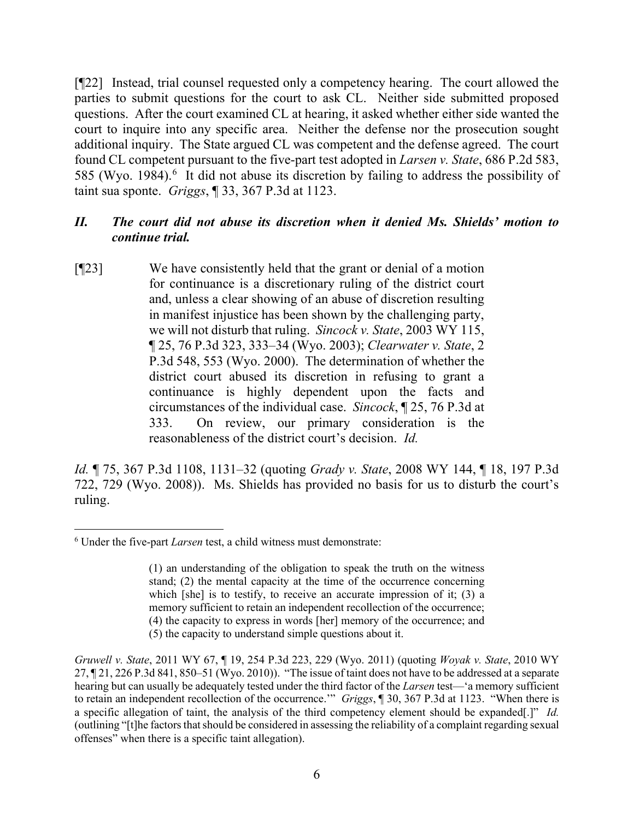[¶22] Instead, trial counsel requested only a competency hearing. The court allowed the parties to submit questions for the court to ask CL. Neither side submitted proposed questions. After the court examined CL at hearing, it asked whether either side wanted the court to inquire into any specific area. Neither the defense nor the prosecution sought additional inquiry. The State argued CL was competent and the defense agreed. The court found CL competent pursuant to the five-part test adopted in *Larsen v. State*, 686 P.2d 583, 585 (Wyo. 1984).<sup>[6](#page-6-0)</sup> It did not abuse its discretion by failing to address the possibility of taint sua sponte. *Griggs*, ¶ 33, 367 P.3d at 1123.

#### *II. The court did not abuse its discretion when it denied Ms. Shields' motion to continue trial.*

[¶23] We have consistently held that the grant or denial of a motion for continuance is a discretionary ruling of the district court and, unless a clear showing of an abuse of discretion resulting in manifest injustice has been shown by the challenging party, we will not disturb that ruling. *Sincock v. State*, 2003 WY 115, ¶ 25, 76 P.3d 323, 333–34 (Wyo. 2003); *Clearwater v. State*, 2 P.3d 548, 553 (Wyo. 2000). The determination of whether the district court abused its discretion in refusing to grant a continuance is highly dependent upon the facts and circumstances of the individual case. *Sincock*, ¶ 25, 76 P.3d at 333. On review, our primary consideration is the reasonableness of the district court's decision. *Id.*

*Id.* ¶ 75, 367 P.3d 1108, 1131–32 (quoting *Grady v. State*, 2008 WY 144, ¶ 18, 197 P.3d 722, 729 (Wyo. 2008)).Ms. Shields has provided no basis for us to disturb the court's ruling.

<span id="page-6-0"></span><sup>6</sup> Under the five-part *Larsen* test, a child witness must demonstrate:

<sup>(1)</sup> an understanding of the obligation to speak the truth on the witness stand; (2) the mental capacity at the time of the occurrence concerning which [she] is to testify, to receive an accurate impression of it; (3) a memory sufficient to retain an independent recollection of the occurrence; (4) the capacity to express in words [her] memory of the occurrence; and

<sup>(5)</sup> the capacity to understand simple questions about it.

*Gruwell v. State*, 2011 WY 67, ¶ 19, 254 P.3d 223, 229 (Wyo. 2011) (quoting *Woyak v. State*, 2010 WY 27, ¶ 21, 226 P.3d 841, 850–51 (Wyo. 2010)). "The issue of taint does not have to be addressed at a separate hearing but can usually be adequately tested under the third factor of the *Larsen* test—'a memory sufficient to retain an independent recollection of the occurrence.'" *Griggs*, ¶ 30, 367 P.3d at 1123. "When there is a specific allegation of taint, the analysis of the third competency element should be expanded[.]" *Id.* (outlining "[t]he factors that should be considered in assessing the reliability of a complaint regarding sexual offenses" when there is a specific taint allegation).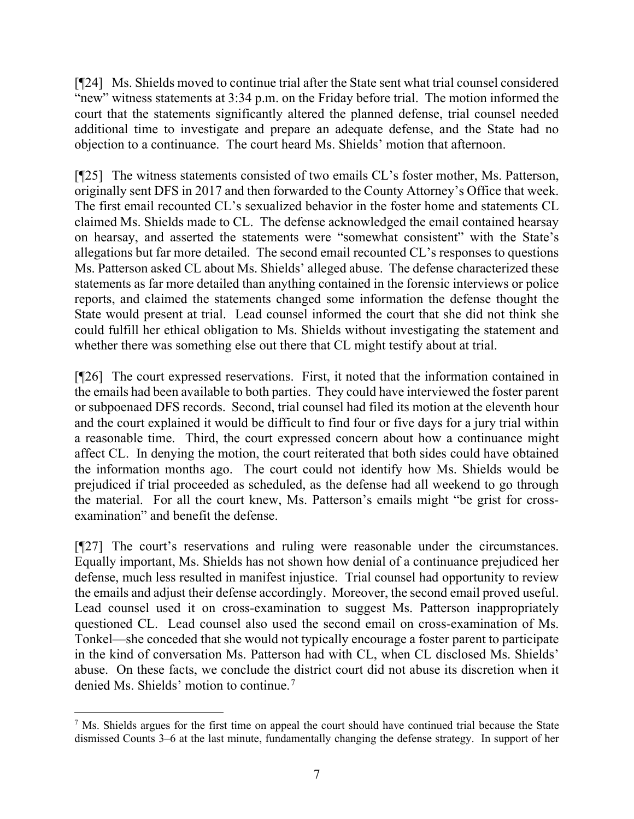[¶24] Ms. Shields moved to continue trial after the State sent what trial counsel considered "new" witness statements at 3:34 p.m. on the Friday before trial. The motion informed the court that the statements significantly altered the planned defense, trial counsel needed additional time to investigate and prepare an adequate defense, and the State had no objection to a continuance. The court heard Ms. Shields' motion that afternoon.

[¶25] The witness statements consisted of two emails CL's foster mother, Ms. Patterson, originally sent DFS in 2017 and then forwarded to the County Attorney's Office that week. The first email recounted CL's sexualized behavior in the foster home and statements CL claimed Ms. Shields made to CL. The defense acknowledged the email contained hearsay on hearsay, and asserted the statements were "somewhat consistent" with the State's allegations but far more detailed. The second email recounted CL's responses to questions Ms. Patterson asked CL about Ms. Shields' alleged abuse. The defense characterized these statements as far more detailed than anything contained in the forensic interviews or police reports, and claimed the statements changed some information the defense thought the State would present at trial. Lead counsel informed the court that she did not think she could fulfill her ethical obligation to Ms. Shields without investigating the statement and whether there was something else out there that CL might testify about at trial.

[¶26] The court expressed reservations. First, it noted that the information contained in the emails had been available to both parties. They could have interviewed the foster parent or subpoenaed DFS records. Second, trial counsel had filed its motion at the eleventh hour and the court explained it would be difficult to find four or five days for a jury trial within a reasonable time. Third, the court expressed concern about how a continuance might affect CL. In denying the motion, the court reiterated that both sides could have obtained the information months ago. The court could not identify how Ms. Shields would be prejudiced if trial proceeded as scheduled, as the defense had all weekend to go through the material. For all the court knew, Ms. Patterson's emails might "be grist for crossexamination" and benefit the defense.

[¶27] The court's reservations and ruling were reasonable under the circumstances. Equally important, Ms. Shields has not shown how denial of a continuance prejudiced her defense, much less resulted in manifest injustice. Trial counsel had opportunity to review the emails and adjust their defense accordingly. Moreover, the second email proved useful. Lead counsel used it on cross-examination to suggest Ms. Patterson inappropriately questioned CL. Lead counsel also used the second email on cross-examination of Ms. Tonkel—she conceded that she would not typically encourage a foster parent to participate in the kind of conversation Ms. Patterson had with CL, when CL disclosed Ms. Shields' abuse. On these facts, we conclude the district court did not abuse its discretion when it denied Ms. Shields' motion to continue.[7](#page-7-0)

<span id="page-7-0"></span> $<sup>7</sup>$  Ms. Shields argues for the first time on appeal the court should have continued trial because the State</sup> dismissed Counts 3–6 at the last minute, fundamentally changing the defense strategy. In support of her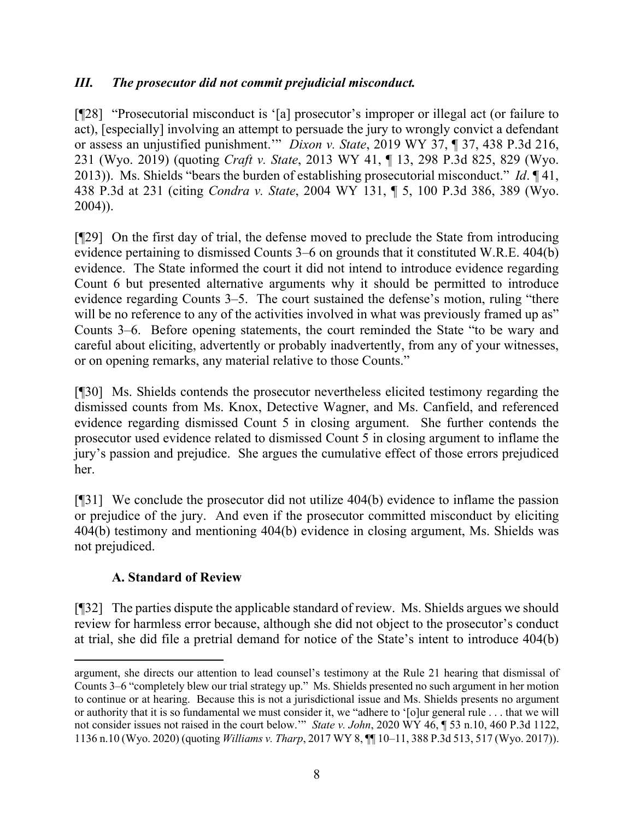### *III. The prosecutor did not commit prejudicial misconduct.*

[¶28] "Prosecutorial misconduct is '[a] prosecutor's improper or illegal act (or failure to act), [especially] involving an attempt to persuade the jury to wrongly convict a defendant or assess an unjustified punishment.'" *Dixon v. State*, 2019 WY 37, ¶ 37, 438 P.3d 216, 231 (Wyo. 2019) (quoting *Craft v. State*, 2013 WY 41, ¶ 13, 298 P.3d 825, 829 (Wyo. 2013)). Ms. Shields "bears the burden of establishing prosecutorial misconduct." *Id*. ¶ 41, 438 P.3d at 231 (citing *Condra v. State*, 2004 WY 131, ¶ 5, 100 P.3d 386, 389 (Wyo. 2004)).

[¶29] On the first day of trial, the defense moved to preclude the State from introducing evidence pertaining to dismissed Counts 3–6 on grounds that it constituted W.R.E. 404(b) evidence. The State informed the court it did not intend to introduce evidence regarding Count 6 but presented alternative arguments why it should be permitted to introduce evidence regarding Counts 3–5. The court sustained the defense's motion, ruling "there will be no reference to any of the activities involved in what was previously framed up as" Counts 3–6. Before opening statements, the court reminded the State "to be wary and careful about eliciting, advertently or probably inadvertently, from any of your witnesses, or on opening remarks, any material relative to those Counts."

[¶30] Ms. Shields contends the prosecutor nevertheless elicited testimony regarding the dismissed counts from Ms. Knox, Detective Wagner, and Ms. Canfield, and referenced evidence regarding dismissed Count 5 in closing argument. She further contends the prosecutor used evidence related to dismissed Count 5 in closing argument to inflame the jury's passion and prejudice. She argues the cumulative effect of those errors prejudiced her.

[¶31] We conclude the prosecutor did not utilize 404(b) evidence to inflame the passion or prejudice of the jury. And even if the prosecutor committed misconduct by eliciting 404(b) testimony and mentioning 404(b) evidence in closing argument, Ms. Shields was not prejudiced.

## **A. Standard of Review**

[¶32] The parties dispute the applicable standard of review. Ms. Shields argues we should review for harmless error because, although she did not object to the prosecutor's conduct at trial, she did file a pretrial demand for notice of the State's intent to introduce 404(b)

argument, she directs our attention to lead counsel's testimony at the Rule 21 hearing that dismissal of Counts 3–6 "completely blew our trial strategy up." Ms. Shields presented no such argument in her motion to continue or at hearing. Because this is not a jurisdictional issue and Ms. Shields presents no argument or authority that it is so fundamental we must consider it, we "adhere to '[o]ur general rule . . . that we will not consider issues not raised in the court below.'" *State v. John*, 2020 WY 46, ¶ 53 n.10, 460 P.3d 1122, 1136 n.10 (Wyo. 2020) (quoting *Williams v. Tharp*, 2017 WY 8, ¶¶ 10–11, 388 P.3d 513, 517 (Wyo. 2017)).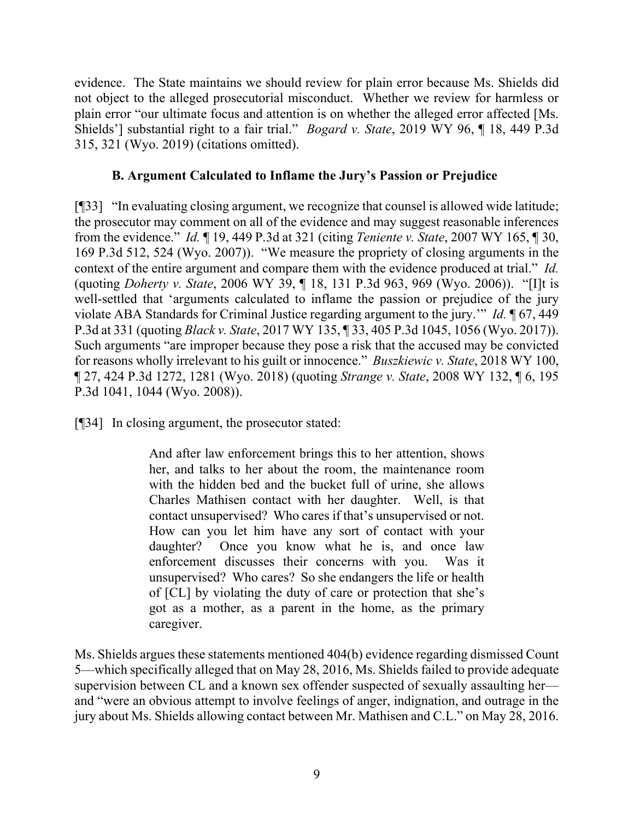evidence. The State maintains we should review for plain error because Ms. Shields did not object to the alleged prosecutorial misconduct. Whether we review for harmless or plain error "our ultimate focus and attention is on whether the alleged error affected [Ms. Shields'] substantial right to a fair trial." *Bogard v. State*, 2019 WY 96, ¶ 18, 449 P.3d 315, 321 (Wyo. 2019) (citations omitted).

### **B. Argument Calculated to Inflame the Jury's Passion or Prejudice**

[¶33] "In evaluating closing argument, we recognize that counsel is allowed wide latitude; the prosecutor may comment on all of the evidence and may suggest reasonable inferences from the evidence." *Id.* ¶ 19, 449 P.3d at 321 (citing *Teniente v. State*, 2007 WY 165, ¶ 30, 169 P.3d 512, 524 (Wyo. 2007)). "We measure the propriety of closing arguments in the context of the entire argument and compare them with the evidence produced at trial." *Id.* (quoting *Doherty v. State*, 2006 WY 39, ¶ 18, 131 P.3d 963, 969 (Wyo. 2006)). "[I]t is well-settled that 'arguments calculated to inflame the passion or prejudice of the jury violate ABA Standards for Criminal Justice regarding argument to the jury.'" *Id.* ¶ 67, 449 P.3d at 331 (quoting *Black v. State*, 2017 WY 135, ¶ 33, 405 P.3d 1045, 1056 (Wyo. 2017)). Such arguments "are improper because they pose a risk that the accused may be convicted for reasons wholly irrelevant to his guilt or innocence." *Buszkiewic v. State*, 2018 WY 100, ¶ 27, 424 P.3d 1272, 1281 (Wyo. 2018) (quoting *Strange v. State*, 2008 WY 132, ¶ 6, 195 P.3d 1041, 1044 (Wyo. 2008)).

[¶34] In closing argument, the prosecutor stated:

And after law enforcement brings this to her attention, shows her, and talks to her about the room, the maintenance room with the hidden bed and the bucket full of urine, she allows Charles Mathisen contact with her daughter. Well, is that contact unsupervised? Who cares if that's unsupervised or not. How can you let him have any sort of contact with your daughter? Once you know what he is, and once law enforcement discusses their concerns with you. Was it unsupervised? Who cares? So she endangers the life or health of [CL] by violating the duty of care or protection that she's got as a mother, as a parent in the home, as the primary caregiver.

Ms. Shields argues these statements mentioned 404(b) evidence regarding dismissed Count 5—which specifically alleged that on May 28, 2016, Ms. Shields failed to provide adequate supervision between CL and a known sex offender suspected of sexually assaulting her and "were an obvious attempt to involve feelings of anger, indignation, and outrage in the jury about Ms. Shields allowing contact between Mr. Mathisen and C.L." on May 28, 2016.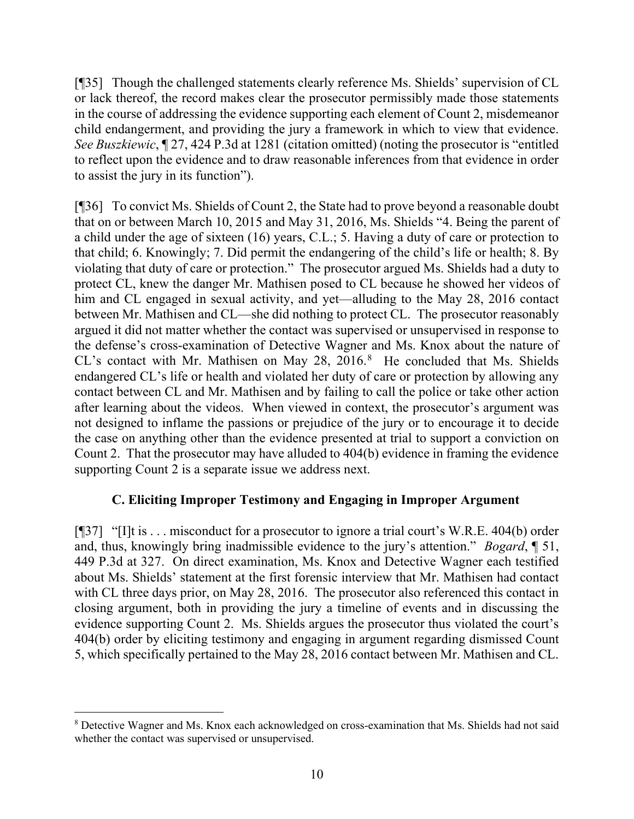[¶35] Though the challenged statements clearly reference Ms. Shields' supervision of CL or lack thereof, the record makes clear the prosecutor permissibly made those statements in the course of addressing the evidence supporting each element of Count 2, misdemeanor child endangerment, and providing the jury a framework in which to view that evidence. *See Buszkiewic*, ¶ 27, 424 P.3d at 1281 (citation omitted) (noting the prosecutor is "entitled to reflect upon the evidence and to draw reasonable inferences from that evidence in order to assist the jury in its function").

[¶36] To convict Ms. Shields of Count 2, the State had to prove beyond a reasonable doubt that on or between March 10, 2015 and May 31, 2016, Ms. Shields "4. Being the parent of a child under the age of sixteen (16) years, C.L.; 5. Having a duty of care or protection to that child; 6. Knowingly; 7. Did permit the endangering of the child's life or health; 8. By violating that duty of care or protection." The prosecutor argued Ms. Shields had a duty to protect CL, knew the danger Mr. Mathisen posed to CL because he showed her videos of him and CL engaged in sexual activity, and yet—alluding to the May 28, 2016 contact between Mr. Mathisen and CL—she did nothing to protect CL. The prosecutor reasonably argued it did not matter whether the contact was supervised or unsupervised in response to the defense's cross-examination of Detective Wagner and Ms. Knox about the nature of CL's contact with Mr. Mathisen on May 2[8](#page-10-0),  $2016$ .<sup>8</sup> He concluded that Ms. Shields endangered CL's life or health and violated her duty of care or protection by allowing any contact between CL and Mr. Mathisen and by failing to call the police or take other action after learning about the videos. When viewed in context, the prosecutor's argument was not designed to inflame the passions or prejudice of the jury or to encourage it to decide the case on anything other than the evidence presented at trial to support a conviction on Count 2. That the prosecutor may have alluded to 404(b) evidence in framing the evidence supporting Count 2 is a separate issue we address next.

### **C. Eliciting Improper Testimony and Engaging in Improper Argument**

[¶37] "[I]t is . . . misconduct for a prosecutor to ignore a trial court's W.R.E. 404(b) order and, thus, knowingly bring inadmissible evidence to the jury's attention." *Bogard*, ¶ 51, 449 P.3d at 327. On direct examination, Ms. Knox and Detective Wagner each testified about Ms. Shields' statement at the first forensic interview that Mr. Mathisen had contact with CL three days prior, on May 28, 2016. The prosecutor also referenced this contact in closing argument, both in providing the jury a timeline of events and in discussing the evidence supporting Count 2. Ms. Shields argues the prosecutor thus violated the court's 404(b) order by eliciting testimony and engaging in argument regarding dismissed Count 5, which specifically pertained to the May 28, 2016 contact between Mr. Mathisen and CL.

<span id="page-10-0"></span><sup>8</sup> Detective Wagner and Ms. Knox each acknowledged on cross-examination that Ms. Shields had not said whether the contact was supervised or unsupervised.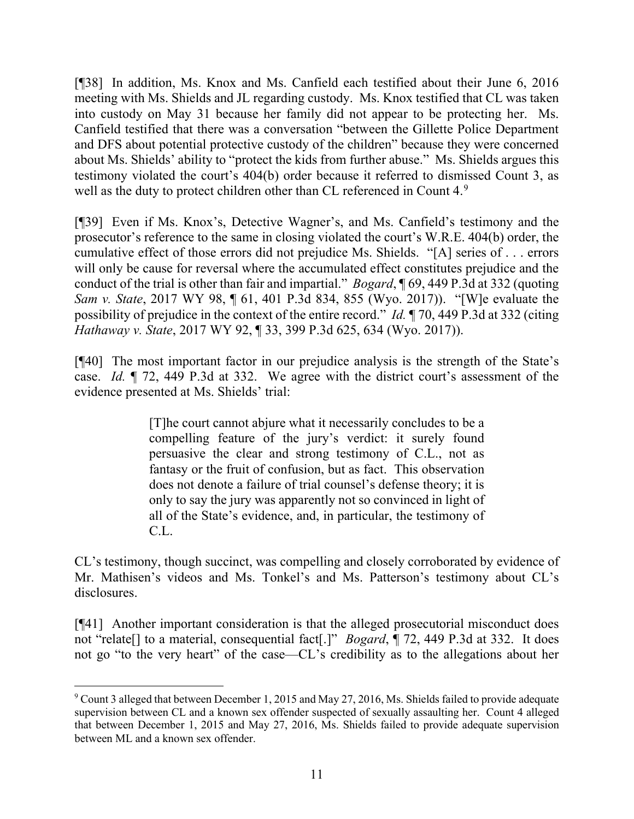[¶38] In addition, Ms. Knox and Ms. Canfield each testified about their June 6, 2016 meeting with Ms. Shields and JL regarding custody. Ms. Knox testified that CL was taken into custody on May 31 because her family did not appear to be protecting her. Ms. Canfield testified that there was a conversation "between the Gillette Police Department and DFS about potential protective custody of the children" because they were concerned about Ms. Shields' ability to "protect the kids from further abuse." Ms. Shields argues this testimony violated the court's 404(b) order because it referred to dismissed Count 3, as well as the duty to protect children other than CL referenced in Count 4.<sup>[9](#page-11-0)</sup>

[¶39] Even if Ms. Knox's, Detective Wagner's, and Ms. Canfield's testimony and the prosecutor's reference to the same in closing violated the court's W.R.E. 404(b) order, the cumulative effect of those errors did not prejudice Ms. Shields. "[A] series of . . . errors will only be cause for reversal where the accumulated effect constitutes prejudice and the conduct of the trial is other than fair and impartial." *Bogard*, ¶ 69, 449 P.3d at 332 (quoting *Sam v. State*, 2017 WY 98, ¶ 61, 401 P.3d 834, 855 (Wyo. 2017)). "[W]e evaluate the possibility of prejudice in the context of the entire record." *Id.* ¶ 70, 449 P.3d at 332 (citing *Hathaway v. State*, 2017 WY 92, ¶ 33, 399 P.3d 625, 634 (Wyo. 2017)).

[¶40] The most important factor in our prejudice analysis is the strength of the State's case. *Id.* ¶ 72, 449 P.3d at 332. We agree with the district court's assessment of the evidence presented at Ms. Shields' trial:

> [T]he court cannot abjure what it necessarily concludes to be a compelling feature of the jury's verdict: it surely found persuasive the clear and strong testimony of C.L., not as fantasy or the fruit of confusion, but as fact. This observation does not denote a failure of trial counsel's defense theory; it is only to say the jury was apparently not so convinced in light of all of the State's evidence, and, in particular, the testimony of C.L.

CL's testimony, though succinct, was compelling and closely corroborated by evidence of Mr. Mathisen's videos and Ms. Tonkel's and Ms. Patterson's testimony about CL's disclosures.

[¶41] Another important consideration is that the alleged prosecutorial misconduct does not "relate[] to a material, consequential fact[.]" *Bogard*, ¶ 72, 449 P.3d at 332. It does not go "to the very heart" of the case—CL's credibility as to the allegations about her

<span id="page-11-0"></span><sup>&</sup>lt;sup>9</sup> Count 3 alleged that between December 1, 2015 and May 27, 2016, Ms. Shields failed to provide adequate supervision between CL and a known sex offender suspected of sexually assaulting her. Count 4 alleged that between December 1, 2015 and May 27, 2016, Ms. Shields failed to provide adequate supervision between ML and a known sex offender.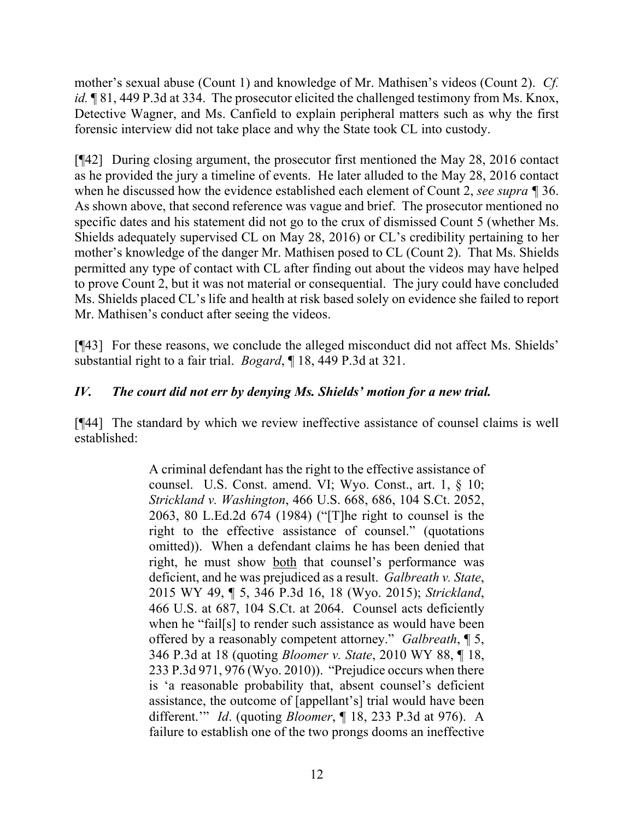mother's sexual abuse (Count 1) and knowledge of Mr. Mathisen's videos (Count 2). *Cf. id.*  $\sqrt{81}$ , 449 P.3d at 334. The prosecutor elicited the challenged testimony from Ms. Knox, Detective Wagner, and Ms. Canfield to explain peripheral matters such as why the first forensic interview did not take place and why the State took CL into custody.

[¶42] During closing argument, the prosecutor first mentioned the May 28, 2016 contact as he provided the jury a timeline of events. He later alluded to the May 28, 2016 contact when he discussed how the evidence established each element of Count 2, *see supra ¶* 36. As shown above, that second reference was vague and brief. The prosecutor mentioned no specific dates and his statement did not go to the crux of dismissed Count 5 (whether Ms. Shields adequately supervised CL on May 28, 2016) or CL's credibility pertaining to her mother's knowledge of the danger Mr. Mathisen posed to CL (Count 2). That Ms. Shields permitted any type of contact with CL after finding out about the videos may have helped to prove Count 2, but it was not material or consequential. The jury could have concluded Ms. Shields placed CL's life and health at risk based solely on evidence she failed to report Mr. Mathisen's conduct after seeing the videos.

[¶43] For these reasons, we conclude the alleged misconduct did not affect Ms. Shields' substantial right to a fair trial. *Bogard*, ¶ 18, 449 P.3d at 321.

## *IV. The court did not err by denying Ms. Shields' motion for a new trial.*

[¶44] The standard by which we review ineffective assistance of counsel claims is well established:

> A criminal defendant has the right to the effective assistance of counsel. U.S. Const. amend. VI; Wyo. Const., art. 1, § 10; *Strickland v. Washington*, 466 U.S. 668, 686, 104 S.Ct. 2052, 2063, 80 L.Ed.2d 674 (1984) ("[T]he right to counsel is the right to the effective assistance of counsel." (quotations omitted)). When a defendant claims he has been denied that right, he must show both that counsel's performance was deficient, and he was prejudiced as a result. *Galbreath v. State*, 2015 WY 49, ¶ 5, 346 P.3d 16, 18 (Wyo. 2015); *Strickland*, 466 U.S. at 687, 104 S.Ct. at 2064. Counsel acts deficiently when he "fail[s] to render such assistance as would have been offered by a reasonably competent attorney." *Galbreath*, ¶ 5, 346 P.3d at 18 (quoting *Bloomer v. State*, 2010 WY 88, ¶ 18, 233 P.3d 971, 976 (Wyo. 2010)). "Prejudice occurs when there is 'a reasonable probability that, absent counsel's deficient assistance, the outcome of [appellant's] trial would have been different.'" *Id*. (quoting *Bloomer*, ¶ 18, 233 P.3d at 976). A failure to establish one of the two prongs dooms an ineffective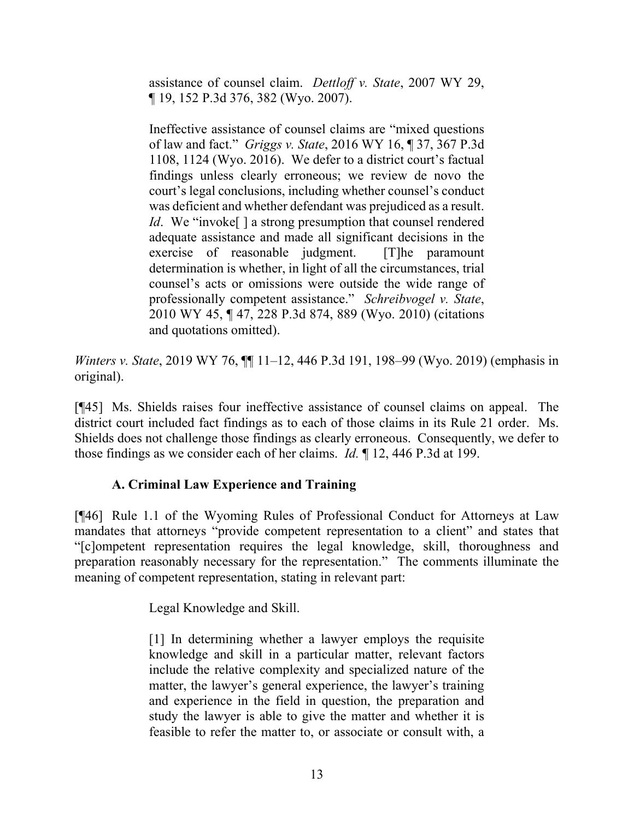assistance of counsel claim. *Dettloff v. State*, 2007 WY 29, ¶ 19, 152 P.3d 376, 382 (Wyo. 2007).

Ineffective assistance of counsel claims are "mixed questions of law and fact." *Griggs v. State*, 2016 WY 16, ¶ 37, 367 P.3d 1108, 1124 (Wyo. 2016). We defer to a district court's factual findings unless clearly erroneous; we review de novo the court's legal conclusions, including whether counsel's conduct was deficient and whether defendant was prejudiced as a result. *Id.* We "invoke<sup>[]</sup> a strong presumption that counsel rendered adequate assistance and made all significant decisions in the exercise of reasonable judgment. [T]he paramount determination is whether, in light of all the circumstances, trial counsel's acts or omissions were outside the wide range of professionally competent assistance." *Schreibvogel v. State*, 2010 WY 45, ¶ 47, 228 P.3d 874, 889 (Wyo. 2010) (citations and quotations omitted).

*Winters v. State*, 2019 WY 76, ¶¶ 11–12, 446 P.3d 191, 198–99 (Wyo. 2019) (emphasis in original).

[¶45] Ms. Shields raises four ineffective assistance of counsel claims on appeal. The district court included fact findings as to each of those claims in its Rule 21 order. Ms. Shields does not challenge those findings as clearly erroneous. Consequently, we defer to those findings as we consider each of her claims. *Id.* ¶ 12, 446 P.3d at 199.

### **A. Criminal Law Experience and Training**

[¶46] Rule 1.1 of the Wyoming Rules of Professional Conduct for Attorneys at Law mandates that attorneys "provide competent representation to a client" and states that "[c]ompetent representation requires the legal knowledge, skill, thoroughness and preparation reasonably necessary for the representation." The comments illuminate the meaning of competent representation, stating in relevant part:

Legal Knowledge and Skill.

[1] In determining whether a lawyer employs the requisite knowledge and skill in a particular matter, relevant factors include the relative complexity and specialized nature of the matter, the lawyer's general experience, the lawyer's training and experience in the field in question, the preparation and study the lawyer is able to give the matter and whether it is feasible to refer the matter to, or associate or consult with, a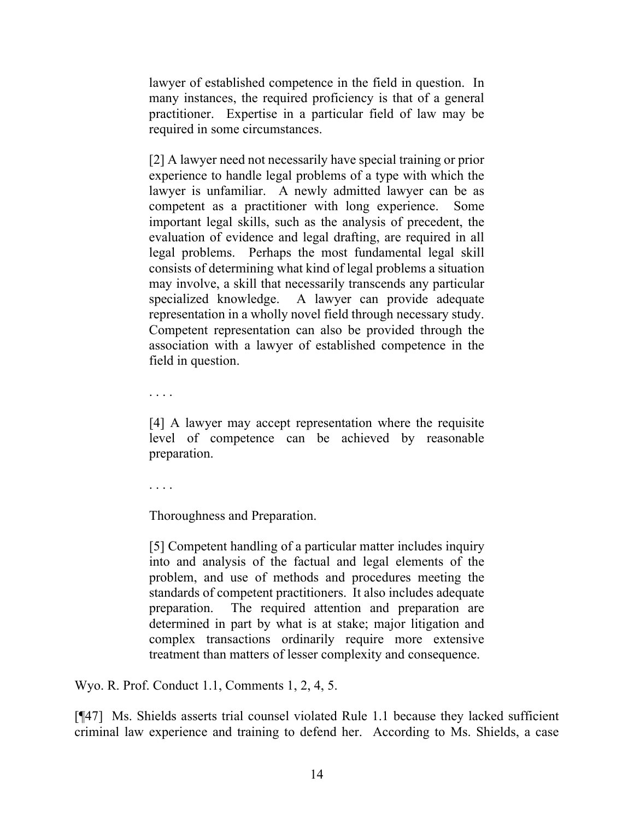lawyer of established competence in the field in question. In many instances, the required proficiency is that of a general practitioner. Expertise in a particular field of law may be required in some circumstances.

[2] A lawyer need not necessarily have special training or prior experience to handle legal problems of a type with which the lawyer is unfamiliar. A newly admitted lawyer can be as competent as a practitioner with long experience. Some important legal skills, such as the analysis of precedent, the evaluation of evidence and legal drafting, are required in all legal problems. Perhaps the most fundamental legal skill consists of determining what kind of legal problems a situation may involve, a skill that necessarily transcends any particular specialized knowledge. A lawyer can provide adequate representation in a wholly novel field through necessary study. Competent representation can also be provided through the association with a lawyer of established competence in the field in question.

. . . .

[4] A lawyer may accept representation where the requisite level of competence can be achieved by reasonable preparation.

. . . .

Thoroughness and Preparation.

[5] Competent handling of a particular matter includes inquiry into and analysis of the factual and legal elements of the problem, and use of methods and procedures meeting the standards of competent practitioners. It also includes adequate preparation. The required attention and preparation are determined in part by what is at stake; major litigation and complex transactions ordinarily require more extensive treatment than matters of lesser complexity and consequence.

Wyo. R. Prof. Conduct 1.1, Comments 1, 2, 4, 5.

[¶47] Ms. Shields asserts trial counsel violated Rule 1.1 because they lacked sufficient criminal law experience and training to defend her. According to Ms. Shields, a case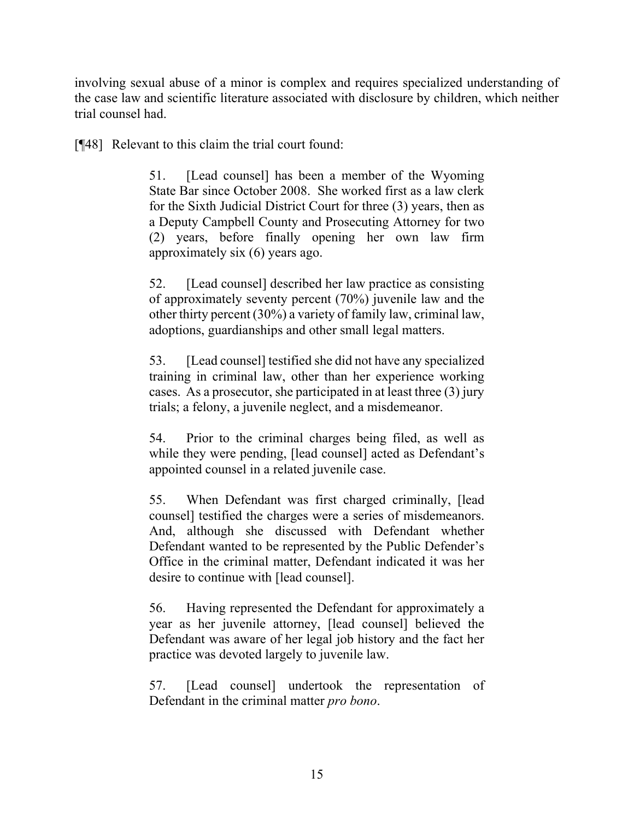involving sexual abuse of a minor is complex and requires specialized understanding of the case law and scientific literature associated with disclosure by children, which neither trial counsel had.

[¶48] Relevant to this claim the trial court found:

51. [Lead counsel] has been a member of the Wyoming State Bar since October 2008. She worked first as a law clerk for the Sixth Judicial District Court for three (3) years, then as a Deputy Campbell County and Prosecuting Attorney for two (2) years, before finally opening her own law firm approximately six (6) years ago.

52. [Lead counsel] described her law practice as consisting of approximately seventy percent (70%) juvenile law and the other thirty percent (30%) a variety of family law, criminal law, adoptions, guardianships and other small legal matters.

53. [Lead counsel] testified she did not have any specialized training in criminal law, other than her experience working cases. As a prosecutor, she participated in at least three (3) jury trials; a felony, a juvenile neglect, and a misdemeanor.

54. Prior to the criminal charges being filed, as well as while they were pending, [lead counsel] acted as Defendant's appointed counsel in a related juvenile case.

55. When Defendant was first charged criminally, [lead counsel] testified the charges were a series of misdemeanors. And, although she discussed with Defendant whether Defendant wanted to be represented by the Public Defender's Office in the criminal matter, Defendant indicated it was her desire to continue with [lead counsel].

56. Having represented the Defendant for approximately a year as her juvenile attorney, [lead counsel] believed the Defendant was aware of her legal job history and the fact her practice was devoted largely to juvenile law.

57. [Lead counsel] undertook the representation of Defendant in the criminal matter *pro bono*.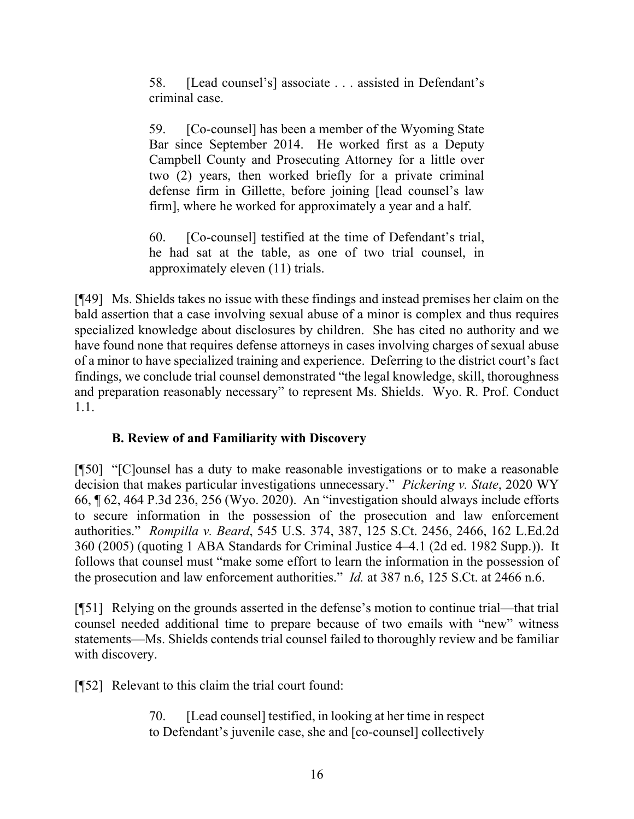58. [Lead counsel's] associate . . . assisted in Defendant's criminal case.

59. [Co-counsel] has been a member of the Wyoming State Bar since September 2014. He worked first as a Deputy Campbell County and Prosecuting Attorney for a little over two (2) years, then worked briefly for a private criminal defense firm in Gillette, before joining [lead counsel's law firm], where he worked for approximately a year and a half.

60. [Co-counsel] testified at the time of Defendant's trial, he had sat at the table, as one of two trial counsel, in approximately eleven (11) trials.

[¶49] Ms. Shields takes no issue with these findings and instead premises her claim on the bald assertion that a case involving sexual abuse of a minor is complex and thus requires specialized knowledge about disclosures by children. She has cited no authority and we have found none that requires defense attorneys in cases involving charges of sexual abuse of a minor to have specialized training and experience. Deferring to the district court's fact findings, we conclude trial counsel demonstrated "the legal knowledge, skill, thoroughness and preparation reasonably necessary" to represent Ms. Shields. Wyo. R. Prof. Conduct 1.1.

# **B. Review of and Familiarity with Discovery**

[¶50] "[C]ounsel has a duty to make reasonable investigations or to make a reasonable decision that makes particular investigations unnecessary." *Pickering v. State*, 2020 WY 66, ¶ 62, 464 P.3d 236, 256 (Wyo. 2020). An "investigation should always include efforts to secure information in the possession of the prosecution and law enforcement authorities." *Rompilla v. Beard*, 545 U.S. 374, 387, 125 S.Ct. 2456, 2466, 162 L.Ed.2d 360 (2005) (quoting 1 ABA Standards for Criminal Justice 4–4.1 (2d ed. 1982 Supp.)). It follows that counsel must "make some effort to learn the information in the possession of the prosecution and law enforcement authorities." *Id.* at 387 n.6, 125 S.Ct. at 2466 n.6.

[¶51] Relying on the grounds asserted in the defense's motion to continue trial—that trial counsel needed additional time to prepare because of two emails with "new" witness statements—Ms. Shields contends trial counsel failed to thoroughly review and be familiar with discovery.

[¶52] Relevant to this claim the trial court found:

70. [Lead counsel] testified, in looking at her time in respect to Defendant's juvenile case, she and [co-counsel] collectively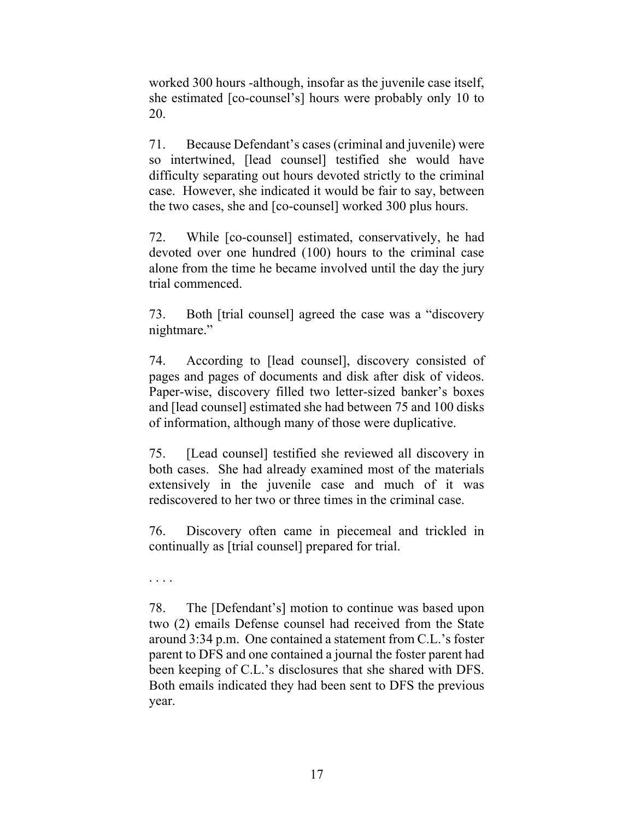worked 300 hours -although, insofar as the juvenile case itself, she estimated [co-counsel's] hours were probably only 10 to 20.

71. Because Defendant's cases (criminal and juvenile) were so intertwined, [lead counsel] testified she would have difficulty separating out hours devoted strictly to the criminal case. However, she indicated it would be fair to say, between the two cases, she and [co-counsel] worked 300 plus hours.

72. While [co-counsel] estimated, conservatively, he had devoted over one hundred (100) hours to the criminal case alone from the time he became involved until the day the jury trial commenced.

73. Both [trial counsel] agreed the case was a "discovery nightmare."

74. According to [lead counsel], discovery consisted of pages and pages of documents and disk after disk of videos. Paper-wise, discovery filled two letter-sized banker's boxes and [lead counsel] estimated she had between 75 and 100 disks of information, although many of those were duplicative.

75. [Lead counsel] testified she reviewed all discovery in both cases. She had already examined most of the materials extensively in the juvenile case and much of it was rediscovered to her two or three times in the criminal case.

76. Discovery often came in piecemeal and trickled in continually as [trial counsel] prepared for trial.

. . . .

78. The [Defendant's] motion to continue was based upon two (2) emails Defense counsel had received from the State around 3:34 p.m. One contained a statement from C.L.'s foster parent to DFS and one contained a journal the foster parent had been keeping of C.L.'s disclosures that she shared with DFS. Both emails indicated they had been sent to DFS the previous year.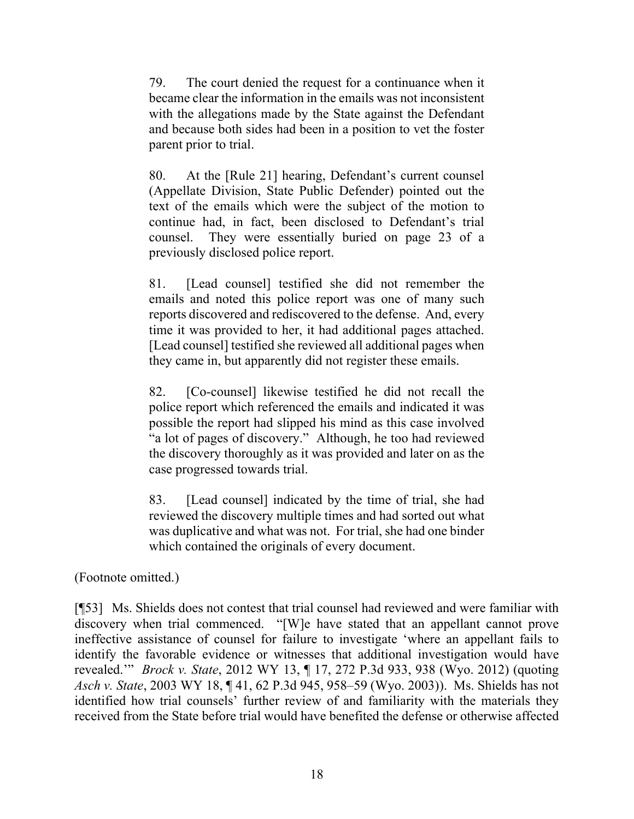79. The court denied the request for a continuance when it became clear the information in the emails was not inconsistent with the allegations made by the State against the Defendant and because both sides had been in a position to vet the foster parent prior to trial.

80. At the [Rule 21] hearing, Defendant's current counsel (Appellate Division, State Public Defender) pointed out the text of the emails which were the subject of the motion to continue had, in fact, been disclosed to Defendant's trial counsel. They were essentially buried on page 23 of a previously disclosed police report.

81. [Lead counsel] testified she did not remember the emails and noted this police report was one of many such reports discovered and rediscovered to the defense. And, every time it was provided to her, it had additional pages attached. [Lead counsel] testified she reviewed all additional pages when they came in, but apparently did not register these emails.

82. [Co-counsel] likewise testified he did not recall the police report which referenced the emails and indicated it was possible the report had slipped his mind as this case involved "a lot of pages of discovery." Although, he too had reviewed the discovery thoroughly as it was provided and later on as the case progressed towards trial.

83. [Lead counsel] indicated by the time of trial, she had reviewed the discovery multiple times and had sorted out what was duplicative and what was not. For trial, she had one binder which contained the originals of every document.

(Footnote omitted.)

[¶53] Ms. Shields does not contest that trial counsel had reviewed and were familiar with discovery when trial commenced. "[W]e have stated that an appellant cannot prove ineffective assistance of counsel for failure to investigate 'where an appellant fails to identify the favorable evidence or witnesses that additional investigation would have revealed.'" *Brock v. State*, 2012 WY 13, ¶ 17, 272 P.3d 933, 938 (Wyo. 2012) (quoting *Asch v. State*, 2003 WY 18, ¶ 41, 62 P.3d 945, 958–59 (Wyo. 2003)). Ms. Shields has not identified how trial counsels' further review of and familiarity with the materials they received from the State before trial would have benefited the defense or otherwise affected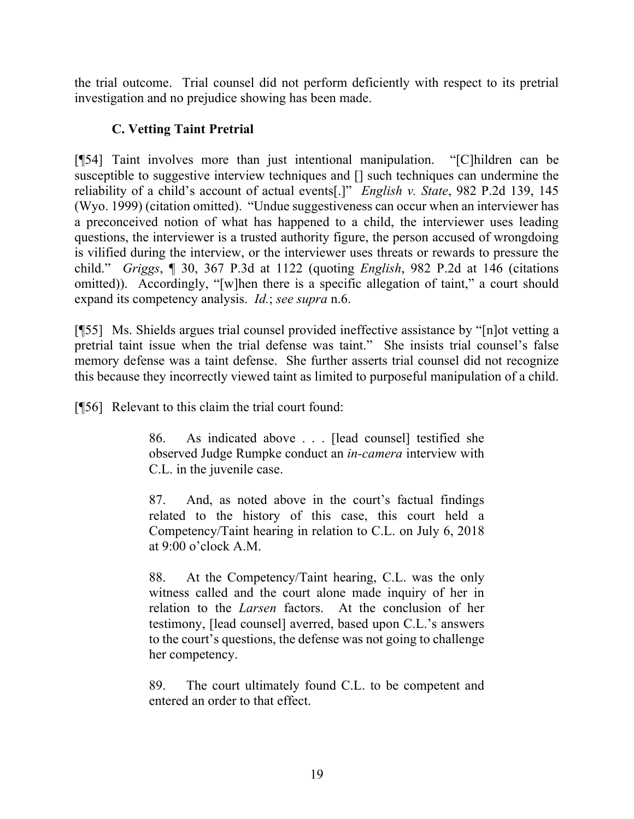the trial outcome. Trial counsel did not perform deficiently with respect to its pretrial investigation and no prejudice showing has been made.

# **C. Vetting Taint Pretrial**

[¶54] Taint involves more than just intentional manipulation. "[C]hildren can be susceptible to suggestive interview techniques and [] such techniques can undermine the reliability of a child's account of actual events[.]" *English v. State*, 982 P.2d 139, 145 (Wyo. 1999) (citation omitted). "Undue suggestiveness can occur when an interviewer has a preconceived notion of what has happened to a child, the interviewer uses leading questions, the interviewer is a trusted authority figure, the person accused of wrongdoing is vilified during the interview, or the interviewer uses threats or rewards to pressure the child." *Griggs*, ¶ 30, 367 P.3d at 1122 (quoting *English*, 982 P.2d at 146 (citations omitted)). Accordingly, "[w]hen there is a specific allegation of taint," a court should expand its competency analysis. *Id.*; *see supra* n.6.

[¶55] Ms. Shields argues trial counsel provided ineffective assistance by "[n]ot vetting a pretrial taint issue when the trial defense was taint." She insists trial counsel's false memory defense was a taint defense. She further asserts trial counsel did not recognize this because they incorrectly viewed taint as limited to purposeful manipulation of a child.

[¶56] Relevant to this claim the trial court found:

86. As indicated above . . . [lead counsel] testified she observed Judge Rumpke conduct an *in-camera* interview with C.L. in the juvenile case.

87. And, as noted above in the court's factual findings related to the history of this case, this court held a Competency/Taint hearing in relation to C.L. on July 6, 2018 at 9:00 o'clock A.M.

88. At the Competency/Taint hearing, C.L. was the only witness called and the court alone made inquiry of her in relation to the *Larsen* factors. At the conclusion of her testimony, [lead counsel] averred, based upon C.L.'s answers to the court's questions, the defense was not going to challenge her competency.

89. The court ultimately found C.L. to be competent and entered an order to that effect.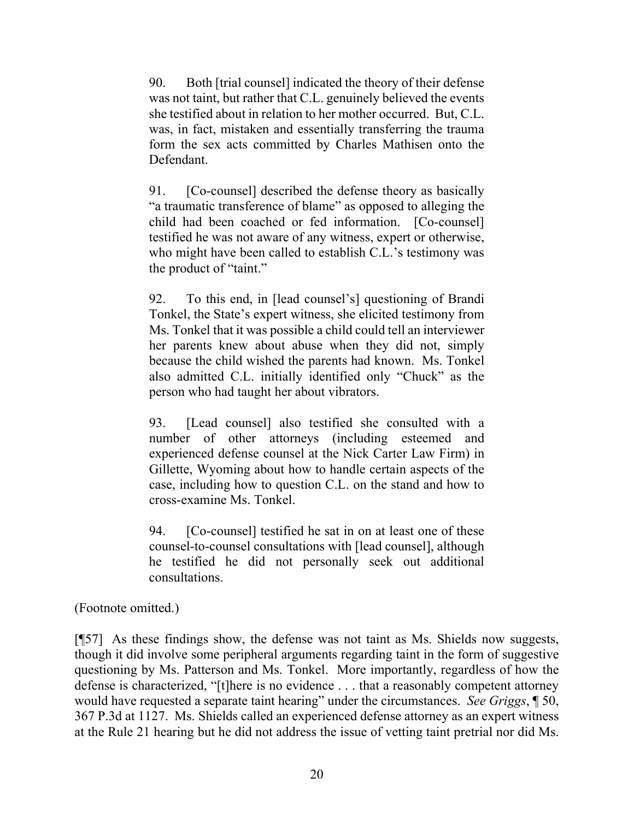90. Both [trial counsel] indicated the theory of their defense was not taint, but rather that C.L. genuinely believed the events she testified about in relation to her mother occurred. But, C.L. was, in fact, mistaken and essentially transferring the trauma form the sex acts committed by Charles Mathisen onto the Defendant.

91. [Co-counsel] described the defense theory as basically "a traumatic transference of blame" as opposed to alleging the child had been coached or fed information. [Co-counsel] testified he was not aware of any witness, expert or otherwise, who might have been called to establish C.L.'s testimony was the product of "taint."

92. To this end, in [lead counsel's] questioning of Brandi Tonkel, the State's expert witness, she elicited testimony from Ms. Tonkel that it was possible a child could tell an interviewer her parents knew about abuse when they did not, simply because the child wished the parents had known. Ms. Tonkel also admitted C.L. initially identified only "Chuck" as the person who had taught her about vibrators.

93. [Lead counsel] also testified she consulted with a number of other attorneys (including esteemed and experienced defense counsel at the Nick Carter Law Firm) in Gillette, Wyoming about how to handle certain aspects of the case, including how to question C.L. on the stand and how to cross-examine Ms. Tonkel.

94. [Co-counsel] testified he sat in on at least one of these counsel-to-counsel consultations with [lead counsel], although he testified he did not personally seek out additional consultations.

(Footnote omitted.)

[¶57] As these findings show, the defense was not taint as Ms. Shields now suggests, though it did involve some peripheral arguments regarding taint in the form of suggestive questioning by Ms. Patterson and Ms. Tonkel. More importantly, regardless of how the defense is characterized, "[t]here is no evidence . . . that a reasonably competent attorney would have requested a separate taint hearing" under the circumstances. *See Griggs*, ¶ 50, 367 P.3d at 1127. Ms. Shields called an experienced defense attorney as an expert witness at the Rule 21 hearing but he did not address the issue of vetting taint pretrial nor did Ms.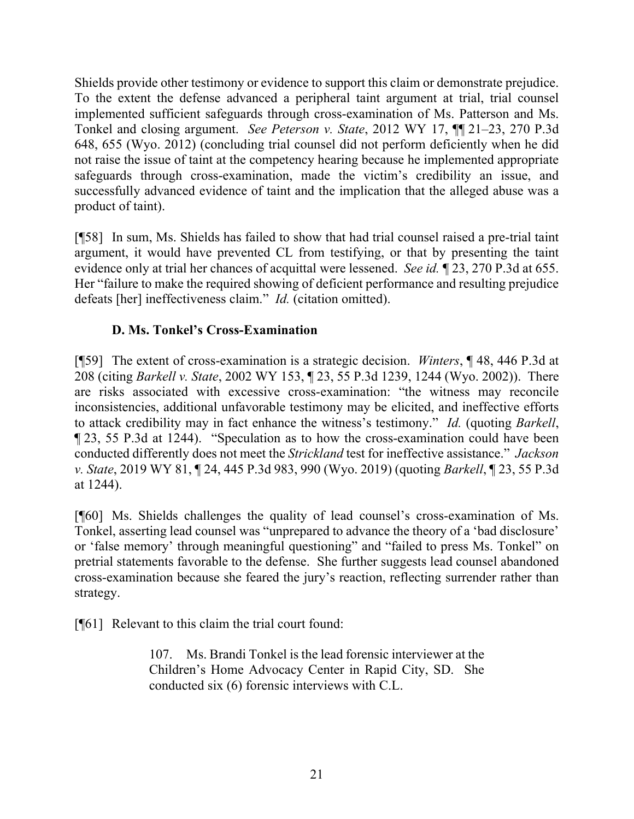Shields provide other testimony or evidence to support this claim or demonstrate prejudice. To the extent the defense advanced a peripheral taint argument at trial, trial counsel implemented sufficient safeguards through cross-examination of Ms. Patterson and Ms. Tonkel and closing argument. *See Peterson v. State*, 2012 WY 17, ¶¶ 21–23, 270 P.3d 648, 655 (Wyo. 2012) (concluding trial counsel did not perform deficiently when he did not raise the issue of taint at the competency hearing because he implemented appropriate safeguards through cross-examination, made the victim's credibility an issue, and successfully advanced evidence of taint and the implication that the alleged abuse was a product of taint).

[¶58] In sum, Ms. Shields has failed to show that had trial counsel raised a pre-trial taint argument, it would have prevented CL from testifying, or that by presenting the taint evidence only at trial her chances of acquittal were lessened. *See id.* ¶ 23, 270 P.3d at 655. Her "failure to make the required showing of deficient performance and resulting prejudice defeats [her] ineffectiveness claim." *Id.* (citation omitted).

## **D. Ms. Tonkel's Cross-Examination**

[¶59] The extent of cross-examination is a strategic decision. *Winters*, ¶ 48, 446 P.3d at 208 (citing *Barkell v. State*, 2002 WY 153, ¶ 23, 55 P.3d 1239, 1244 (Wyo. 2002)). There are risks associated with excessive cross-examination: "the witness may reconcile inconsistencies, additional unfavorable testimony may be elicited, and ineffective efforts to attack credibility may in fact enhance the witness's testimony." *Id.* (quoting *Barkell*, ¶ 23, 55 P.3d at 1244). "Speculation as to how the cross-examination could have been conducted differently does not meet the *Strickland* test for ineffective assistance." *Jackson v. State*, 2019 WY 81, ¶ 24, 445 P.3d 983, 990 (Wyo. 2019) (quoting *Barkell*, ¶ 23, 55 P.3d at 1244).

[¶60] Ms. Shields challenges the quality of lead counsel's cross-examination of Ms. Tonkel, asserting lead counsel was "unprepared to advance the theory of a 'bad disclosure' or 'false memory' through meaningful questioning" and "failed to press Ms. Tonkel" on pretrial statements favorable to the defense. She further suggests lead counsel abandoned cross-examination because she feared the jury's reaction, reflecting surrender rather than strategy.

[¶61] Relevant to this claim the trial court found:

107. Ms. Brandi Tonkel is the lead forensic interviewer at the Children's Home Advocacy Center in Rapid City, SD. She conducted six (6) forensic interviews with C.L.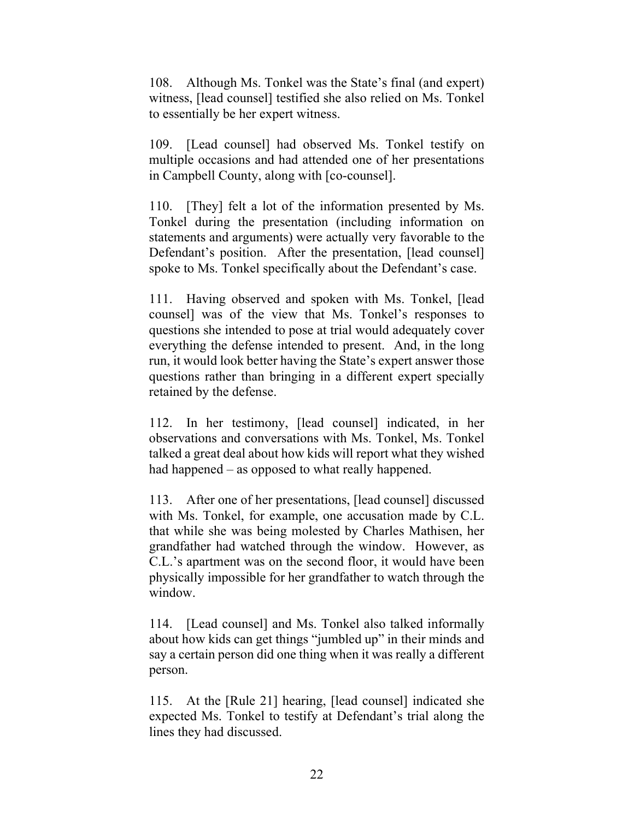108. Although Ms. Tonkel was the State's final (and expert) witness, [lead counsel] testified she also relied on Ms. Tonkel to essentially be her expert witness.

109. [Lead counsel] had observed Ms. Tonkel testify on multiple occasions and had attended one of her presentations in Campbell County, along with [co-counsel].

110. [They] felt a lot of the information presented by Ms. Tonkel during the presentation (including information on statements and arguments) were actually very favorable to the Defendant's position. After the presentation, [lead counsel] spoke to Ms. Tonkel specifically about the Defendant's case.

111. Having observed and spoken with Ms. Tonkel, [lead counsel] was of the view that Ms. Tonkel's responses to questions she intended to pose at trial would adequately cover everything the defense intended to present. And, in the long run, it would look better having the State's expert answer those questions rather than bringing in a different expert specially retained by the defense.

112. In her testimony, [lead counsel] indicated, in her observations and conversations with Ms. Tonkel, Ms. Tonkel talked a great deal about how kids will report what they wished had happened – as opposed to what really happened.

113. After one of her presentations, [lead counsel] discussed with Ms. Tonkel, for example, one accusation made by C.L. that while she was being molested by Charles Mathisen, her grandfather had watched through the window. However, as C.L.'s apartment was on the second floor, it would have been physically impossible for her grandfather to watch through the window.

114. [Lead counsel] and Ms. Tonkel also talked informally about how kids can get things "jumbled up" in their minds and say a certain person did one thing when it was really a different person.

115. At the [Rule 21] hearing, [lead counsel] indicated she expected Ms. Tonkel to testify at Defendant's trial along the lines they had discussed.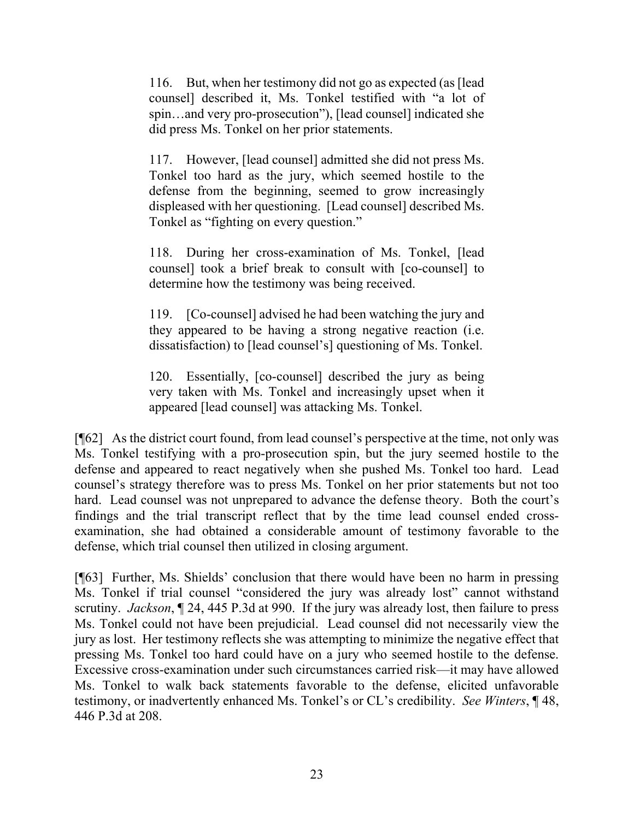116. But, when her testimony did not go as expected (as [lead counsel] described it, Ms. Tonkel testified with "a lot of spin…and very pro-prosecution"), [lead counsel] indicated she did press Ms. Tonkel on her prior statements.

117. However, [lead counsel] admitted she did not press Ms. Tonkel too hard as the jury, which seemed hostile to the defense from the beginning, seemed to grow increasingly displeased with her questioning. [Lead counsel] described Ms. Tonkel as "fighting on every question."

118. During her cross-examination of Ms. Tonkel, [lead counsel] took a brief break to consult with [co-counsel] to determine how the testimony was being received.

119. [Co-counsel] advised he had been watching the jury and they appeared to be having a strong negative reaction (i.e. dissatisfaction) to [lead counsel's] questioning of Ms. Tonkel.

120. Essentially, [co-counsel] described the jury as being very taken with Ms. Tonkel and increasingly upset when it appeared [lead counsel] was attacking Ms. Tonkel.

[¶62] As the district court found, from lead counsel's perspective at the time, not only was Ms. Tonkel testifying with a pro-prosecution spin, but the jury seemed hostile to the defense and appeared to react negatively when she pushed Ms. Tonkel too hard. Lead counsel's strategy therefore was to press Ms. Tonkel on her prior statements but not too hard. Lead counsel was not unprepared to advance the defense theory. Both the court's findings and the trial transcript reflect that by the time lead counsel ended crossexamination, she had obtained a considerable amount of testimony favorable to the defense, which trial counsel then utilized in closing argument.

[¶63] Further, Ms. Shields' conclusion that there would have been no harm in pressing Ms. Tonkel if trial counsel "considered the jury was already lost" cannot withstand scrutiny. *Jackson*, ¶ 24, 445 P.3d at 990. If the jury was already lost, then failure to press Ms. Tonkel could not have been prejudicial. Lead counsel did not necessarily view the jury as lost. Her testimony reflects she was attempting to minimize the negative effect that pressing Ms. Tonkel too hard could have on a jury who seemed hostile to the defense. Excessive cross-examination under such circumstances carried risk—it may have allowed Ms. Tonkel to walk back statements favorable to the defense, elicited unfavorable testimony, or inadvertently enhanced Ms. Tonkel's or CL's credibility. *See Winters*, ¶ 48, 446 P.3d at 208.